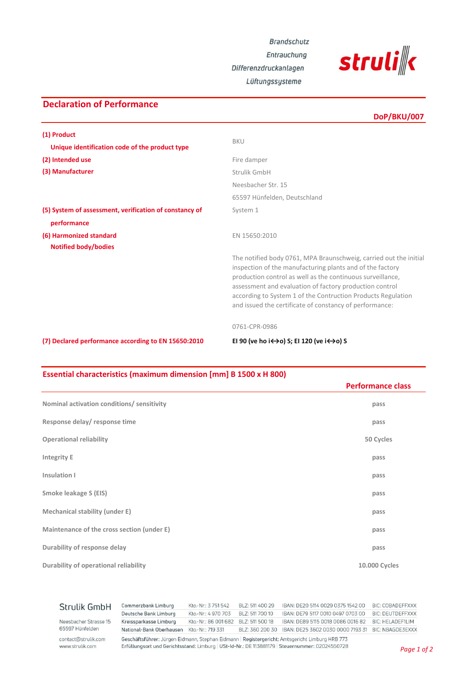**Brandschutz** 

Entrauchung

Differenzdruckanlagen Lüftungssysteme



## **(5) System of assessment, verification of constancy of** System 1  **performance Notified body/bodies** The notified body 0761, MPA Braunschweig, carried out the initial inspection of the manufacturing plants and of the factory production control as well as the continuous surveillance, assessment and evaluation of factory production control according to System 1 of the Contruction Products Regulation and issued the certificate of constancy of performance: **(2) Intended use** Fire damper **(3) Manufacturer Strulik GmbH** Neesbacher Str. 15 65597 Hünfelden, Deutschland **DoP/BKU/007 (1) Product** BKU  **Unique identification code of the product type (6) Harmonized standard** EN 15650:2010 0761-CPR-0986 **(7) Declared performance according to EN 15650:2010 EI 90 (ve ho i↔o) S; EI 120 (ve i↔o) S**

**Declaration of Performance**

## **Essential characteristics (maximum dimension [mm] B 1500 x H 800)**

|                                            | <b>Performance class</b> |
|--------------------------------------------|--------------------------|
| Nominal activation conditions/ sensitivity | pass                     |
| Response delay/response time               | pass                     |
| <b>Operational reliability</b>             | 50 Cycles                |
| <b>Integrity E</b>                         | pass                     |
| Insulation I                               | pass                     |
| Smoke leakage S (EIS)                      | pass                     |
| Mechanical stability (under E)             | pass                     |
| Maintenance of the cross section (under E) | pass                     |
| Durability of response delay               | pass                     |
| Durability of operational reliability      | 10.000 Cycles            |

| contact@strulik.com<br>www.strulik.com | Geschäftsführer: Jürgen Eidmann, Stephan Eidmann   Registergericht: Amtsgericht Limburg HRB 773<br>Erfüllungsort und Gerichtsstand: Limburg   USt-Id-Nr.: DE 113881179   Steuernummer: 02024550728 |                       |                 |                                                    | $\sim$ $\sim$           |
|----------------------------------------|----------------------------------------------------------------------------------------------------------------------------------------------------------------------------------------------------|-----------------------|-----------------|----------------------------------------------------|-------------------------|
| 65597 Hünfelden                        | National-Bank Oberhausen Kto.-Nr.: 719 331                                                                                                                                                         |                       | BLZ: 360 200 30 | IBAN: DE25 3602 0030 0000 7193 31 BIC: NBAGDE3EXXX |                         |
| Neesbacher Strasse 15                  | Kreissparkasse Limburg                                                                                                                                                                             | Kto.-Nr.: 86 001 682  | BLZ: 511 500 18 | IBAN: DE89 5115 0018 0086 0016 82                  | <b>BIC: HELADEF1LIM</b> |
|                                        | Deutsche Bank Limburg                                                                                                                                                                              | Kto .- Nr.: 4 970 703 | BLZ: 511 700 10 | IBAN: DE79 5117 0010 0497 0703 00                  | <b>BIC: DEUTDEFFXXX</b> |
| Strulik GmbH                           | Commerzbank Limburg                                                                                                                                                                                | Kto.-Nr.: 3751542     | BLZ: 511 400 29 | IBAN: DE20 5114 0029 0375 1542 00                  | <b>BIC: COBADEFFXXX</b> |
|                                        |                                                                                                                                                                                                    |                       |                 |                                                    |                         |